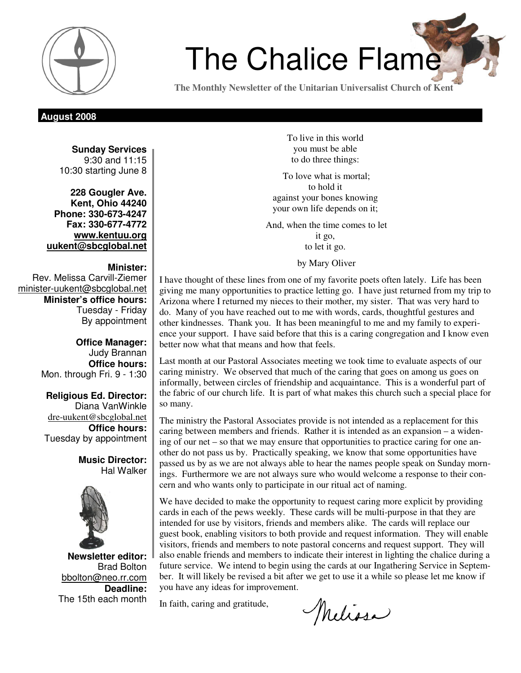

# **The Chalice Flame**

**The Monthly Newsletter of the Unitarian Universalist Church of Kent** 

# **August 2008**

**Sunday Services**  9:30 and 11:15 10:30 starting June 8

**228 Gougler Ave. Kent, Ohio 44240 Phone: 330-673-4247 Fax: 330-677-4772 www.kentuu.org uukent@sbcglobal.net**

## **Minister:**

Rev. Melissa Carvill-Ziemer minister-uukent@sbcglobal.net **Minister's office hours:**  Tuesday - Friday By appointment

> **Office Manager:** Judy Brannan **Office hours:** Mon. through Fri. 9 - 1:30

**Religious Ed. Director:**  Diana VanWinkle dre-uukent@sbcglobal.net **Office hours:**  Tuesday by appointment

> **Music Director:**  Hal Walker



**Newsletter editor:**  Brad Bolton bbolton@neo.rr.com **Deadline:**  The 15th each month

To live in this world you must be able to do three things:

 To love what is mortal; to hold it against your bones knowing your own life depends on it;

 And, when the time comes to let it go, to let it go.

by Mary Oliver

I have thought of these lines from one of my favorite poets often lately. Life has been giving me many opportunities to practice letting go. I have just returned from my trip to Arizona where I returned my nieces to their mother, my sister. That was very hard to do. Many of you have reached out to me with words, cards, thoughtful gestures and other kindnesses. Thank you. It has been meaningful to me and my family to experience your support. I have said before that this is a caring congregation and I know even better now what that means and how that feels.

Last month at our Pastoral Associates meeting we took time to evaluate aspects of our caring ministry. We observed that much of the caring that goes on among us goes on informally, between circles of friendship and acquaintance. This is a wonderful part of the fabric of our church life. It is part of what makes this church such a special place for so many.

The ministry the Pastoral Associates provide is not intended as a replacement for this caring between members and friends. Rather it is intended as an expansion – a widening of our net – so that we may ensure that opportunities to practice caring for one another do not pass us by. Practically speaking, we know that some opportunities have passed us by as we are not always able to hear the names people speak on Sunday mornings. Furthermore we are not always sure who would welcome a response to their concern and who wants only to participate in our ritual act of naming.

We have decided to make the opportunity to request caring more explicit by providing cards in each of the pews weekly. These cards will be multi-purpose in that they are intended for use by visitors, friends and members alike. The cards will replace our guest book, enabling visitors to both provide and request information. They will enable visitors, friends and members to note pastoral concerns and request support. They will also enable friends and members to indicate their interest in lighting the chalice during a future service. We intend to begin using the cards at our Ingathering Service in September. It will likely be revised a bit after we get to use it a while so please let me know if you have any ideas for improvement.

In faith, caring and gratitude,

Melissa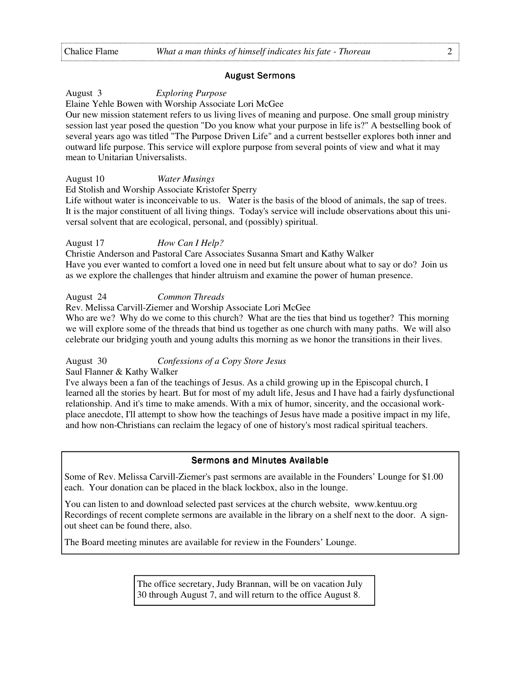#### August Sermons August Sermons

August 3 *Exploring Purpose* 

Elaine Yehle Bowen with Worship Associate Lori McGee

Our new mission statement refers to us living lives of meaning and purpose. One small group ministry session last year posed the question "Do you know what your purpose in life is?" A bestselling book of several years ago was titled "The Purpose Driven Life" and a current bestseller explores both inner and outward life purpose. This service will explore purpose from several points of view and what it may mean to Unitarian Universalists.

August 10 *Water Musings* 

Ed Stolish and Worship Associate Kristofer Sperry

Life without water is inconceivable to us. Water is the basis of the blood of animals, the sap of trees. It is the major constituent of all living things. Today's service will include observations about this universal solvent that are ecological, personal, and (possibly) spiritual.

#### August 17 *How Can I Help?*

Christie Anderson and Pastoral Care Associates Susanna Smart and Kathy Walker Have you ever wanted to comfort a loved one in need but felt unsure about what to say or do? Join us as we explore the challenges that hinder altruism and examine the power of human presence.

August 24 *Common Threads*

Rev. Melissa Carvill-Ziemer and Worship Associate Lori McGee

Who are we? Why do we come to this church? What are the ties that bind us together? This morning we will explore some of the threads that bind us together as one church with many paths. We will also celebrate our bridging youth and young adults this morning as we honor the transitions in their lives.

August 30 *Confessions of a Copy Store Jesus*

Saul Flanner & Kathy Walker

I've always been a fan of the teachings of Jesus. As a child growing up in the Episcopal church, I learned all the stories by heart. But for most of my adult life, Jesus and I have had a fairly dysfunctional relationship. And it's time to make amends. With a mix of humor, sincerity, and the occasional workplace anecdote, I'll attempt to show how the teachings of Jesus have made a positive impact in my life, and how non-Christians can reclaim the legacy of one of history's most radical spiritual teachers.

#### Sermons and Minutes Available

Some of Rev. Melissa Carvill-Ziemer's past sermons are available in the Founders' Lounge for \$1.00 each. Your donation can be placed in the black lockbox, also in the lounge.

You can listen to and download selected past services at the church website, www.kentuu.org Recordings of recent complete sermons are available in the library on a shelf next to the door. A signout sheet can be found there, also.

The Board meeting minutes are available for review in the Founders' Lounge.

The office secretary, Judy Brannan, will be on vacation July 30 through August 7, and will return to the office August 8.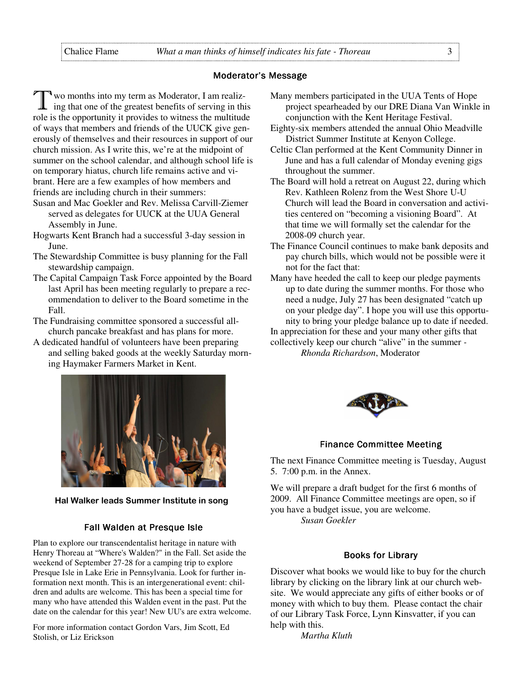#### Moderator's Message

wo months into my term as Moderator, I am realizing that one of the greatest benefits of serving in this role is the opportunity it provides to witness the multitude of ways that members and friends of the UUCK give generously of themselves and their resources in support of our church mission. As I write this, we're at the midpoint of summer on the school calendar, and although school life is on temporary hiatus, church life remains active and vibrant. Here are a few examples of how members and friends are including church in their summers:

- Susan and Mac Goekler and Rev. Melissa Carvill-Ziemer served as delegates for UUCK at the UUA General Assembly in June.
- Hogwarts Kent Branch had a successful 3-day session in June.
- The Stewardship Committee is busy planning for the Fall stewardship campaign.
- The Capital Campaign Task Force appointed by the Board last April has been meeting regularly to prepare a recommendation to deliver to the Board sometime in the Fall.
- The Fundraising committee sponsored a successful allchurch pancake breakfast and has plans for more.
- A dedicated handful of volunteers have been preparing and selling baked goods at the weekly Saturday morning Haymaker Farmers Market in Kent.



Hal Walker leads Summer Institute in song

#### Fall Walden at Presque Isle

Plan to explore our transcendentalist heritage in nature with Henry Thoreau at "Where's Walden?" in the Fall. Set aside the weekend of September 27-28 for a camping trip to explore Presque Isle in Lake Erie in Pennsylvania. Look for further information next month. This is an intergenerational event: children and adults are welcome. This has been a special time for many who have attended this Walden event in the past. Put the date on the calendar for this year! New UU's are extra welcome.

For more information contact Gordon Vars, Jim Scott, Ed Stolish, or Liz Erickson

- Many members participated in the UUA Tents of Hope project spearheaded by our DRE Diana Van Winkle in conjunction with the Kent Heritage Festival.
- Eighty-six members attended the annual Ohio Meadville District Summer Institute at Kenyon College.
- Celtic Clan performed at the Kent Community Dinner in June and has a full calendar of Monday evening gigs throughout the summer.
- The Board will hold a retreat on August 22, during which Rev. Kathleen Rolenz from the West Shore U-U Church will lead the Board in conversation and activities centered on "becoming a visioning Board". At that time we will formally set the calendar for the 2008-09 church year.
- The Finance Council continues to make bank deposits and pay church bills, which would not be possible were it not for the fact that:
- Many have heeded the call to keep our pledge payments up to date during the summer months. For those who need a nudge, July 27 has been designated "catch up on your pledge day". I hope you will use this opportunity to bring your pledge balance up to date if needed.

In appreciation for these and your many other gifts that collectively keep our church "alive" in the summer *-* 

 *Rhonda Richardson*, Moderator



#### Finance Committee Meeting

The next Finance Committee meeting is Tuesday, August 5. 7:00 p.m. in the Annex.

We will prepare a draft budget for the first 6 months of 2009. All Finance Committee meetings are open, so if you have a budget issue, you are welcome. *Susan Goekler* 

#### **Books for Library**

Discover what books we would like to buy for the church library by clicking on the library link at our church website. We would appreciate any gifts of either books or of money with which to buy them. Please contact the chair of our Library Task Force, Lynn Kinsvatter, if you can help with this.

*Martha Kluth*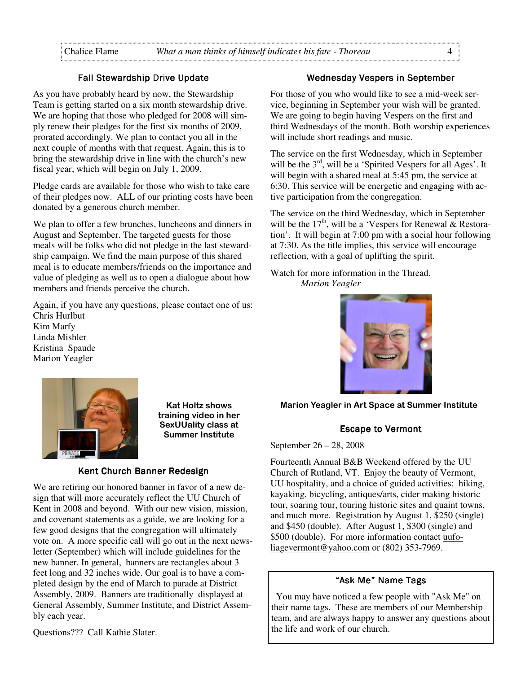#### Fall Stewardship Drive Update

As you have probably heard by now, the Stewardship Team is getting started on a six month stewardship drive. We are hoping that those who pledged for 2008 will simply renew their pledges for the first six months of 2009, prorated accordingly. We plan to contact you all in the next couple of months with that request. Again, this is to bring the stewardship drive in line with the church's new fiscal year, which will begin on July 1, 2009.

Pledge cards are available for those who wish to take care of their pledges now. ALL of our printing costs have been donated by a generous church member.

We plan to offer a few brunches, luncheons and dinners in August and September. The targeted guests for those meals will be folks who did not pledge in the last stewardship campaign. We find the main purpose of this shared meal is to educate members/friends on the importance and value of pledging as well as to open a dialogue about how members and friends perceive the church.

Again, if you have any questions, please contact one of us: Chris Hurlbut Kim Marfy

Linda Mishler Kristina Spaude Marion Yeagler



training video in her SexUUality class at Summer Institute

#### Kent Church Banner Redesign

We are retiring our honored banner in favor of a new design that will more accurately reflect the UU Church of Kent in 2008 and beyond. With our new vision, mission, and covenant statements as a guide, we are looking for a few good designs that the congregation will ultimately vote on. A more specific call will go out in the next newsletter (September) which will include guidelines for the new banner. In general, banners are rectangles about 3 feet long and 32 inches wide. Our goal is to have a completed design by the end of March to parade at District Assembly, 2009. Banners are traditionally displayed at General Assembly, Summer Institute, and District Assembly each year.

Questions??? Call Kathie Slater.

# Wednesday Vespers in September

For those of you who would like to see a mid-week service, beginning in September your wish will be granted. We are going to begin having Vespers on the first and third Wednesdays of the month. Both worship experiences will include short readings and music.

The service on the first Wednesday, which in September will be the 3<sup>rd</sup>, will be a 'Spirited Vespers for all Ages'. It will begin with a shared meal at 5:45 pm, the service at 6:30. This service will be energetic and engaging with active participation from the congregation.

The service on the third Wednesday, which in September will be the  $17<sup>th</sup>$ , will be a 'Vespers for Renewal  $\&$  Restoration'. It will begin at 7:00 pm with a social hour following at 7:30. As the title implies, this service will encourage reflection, with a goal of uplifting the spirit.

Watch for more information in the Thread.  *Marion Yeagler* 



Kat Holtz shows Marion Yeagler in Art Space at Summer Institute

#### Escape to Vermont

September 26 – 28, 2008

Fourteenth Annual B&B Weekend offered by the UU Church of Rutland, VT. Enjoy the beauty of Vermont, UU hospitality, and a choice of guided activities: hiking, kayaking, bicycling, antiques/arts, cider making historic tour, soaring tour, touring historic sites and quaint towns, and much more. Registration by August 1, \$250 (single) and \$450 (double). After August 1, \$300 (single) and \$500 (double). For more information contact uufoliagevermont@yahoo.com or (802) 353-7969.

#### "Ask Me" Name Tags

 You may have noticed a few people with "Ask Me" on their name tags. These are members of our Membership team, and are always happy to answer any questions about the life and work of our church.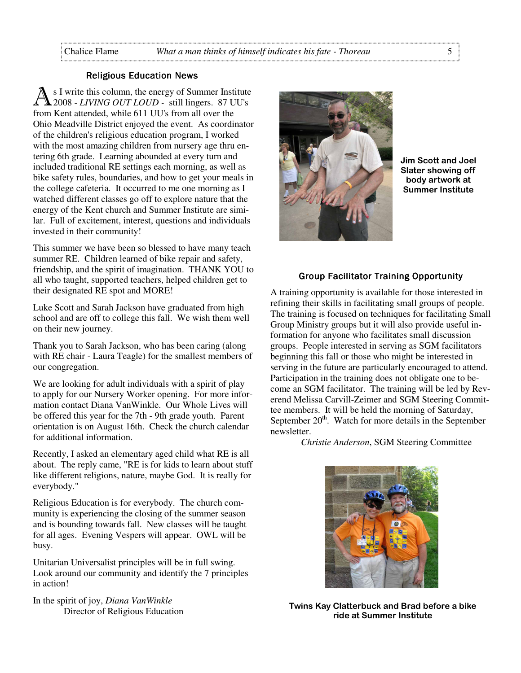#### **Religious Education News**

s I write this column, the energy of Summer Institute 2008 - *LIVING OUT LOUD -* still lingers. 87 UU's from Kent attended, while 611 UU's from all over the Ohio Meadville District enjoyed the event. As coordinator of the children's religious education program, I worked with the most amazing children from nursery age thru entering 6th grade. Learning abounded at every turn and included traditional RE settings each morning, as well as bike safety rules, boundaries, and how to get your meals in the college cafeteria. It occurred to me one morning as I watched different classes go off to explore nature that the energy of the Kent church and Summer Institute are similar. Full of excitement, interest, questions and individuals invested in their community!

This summer we have been so blessed to have many teach summer RE. Children learned of bike repair and safety, friendship, and the spirit of imagination. THANK YOU to all who taught, supported teachers, helped children get to their designated RE spot and MORE!

Luke Scott and Sarah Jackson have graduated from high school and are off to college this fall. We wish them well on their new journey.

Thank you to Sarah Jackson, who has been caring (along with RE chair - Laura Teagle) for the smallest members of our congregation.

We are looking for adult individuals with a spirit of play to apply for our Nursery Worker opening. For more information contact Diana VanWinkle. Our Whole Lives will be offered this year for the 7th - 9th grade youth. Parent orientation is on August 16th. Check the church calendar for additional information.

Recently, I asked an elementary aged child what RE is all about. The reply came, "RE is for kids to learn about stuff like different religions, nature, maybe God. It is really for everybody."

Religious Education is for everybody. The church community is experiencing the closing of the summer season and is bounding towards fall. New classes will be taught for all ages. Evening Vespers will appear. OWL will be busy.

Unitarian Universalist principles will be in full swing. Look around our community and identify the 7 principles in action!

In the spirit of joy, *Diana VanWinkle* Director of Religious Education



Jim Scott and Joel Slater showing off body artwork at Summer Institute

#### Group Facilitator Training Opportunity

A training opportunity is available for those interested in refining their skills in facilitating small groups of people. The training is focused on techniques for facilitating Small Group Ministry groups but it will also provide useful information for anyone who facilitates small discussion groups. People interested in serving as SGM facilitators beginning this fall or those who might be interested in serving in the future are particularly encouraged to attend. Participation in the training does not obligate one to become an SGM facilitator. The training will be led by Reverend Melissa Carvill-Zeimer and SGM Steering Committee members. It will be held the morning of Saturday, September  $20<sup>th</sup>$ . Watch for more details in the September newsletter.

*Christie Anderson*, SGM Steering Committee



Twins Kay Clatterbuck and Brad before a bike ride at Summer Institute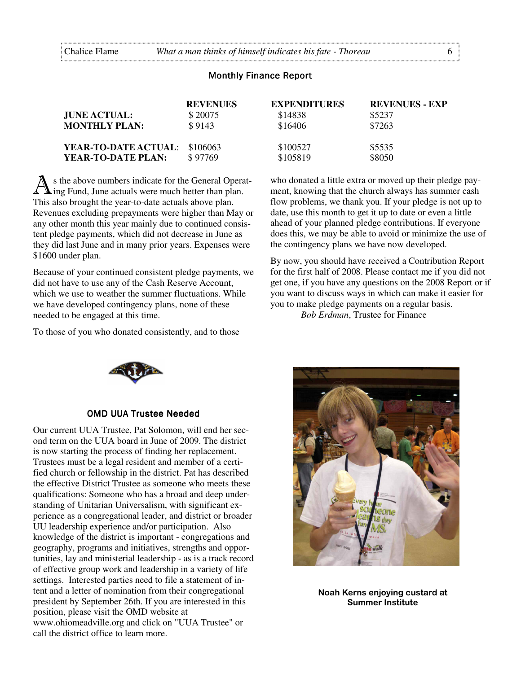#### **Monthly Finance Report**

|                               | <b>REVENUES</b> | <b>EXPENDITURES</b> | <b>REVENUES - EXP</b> |
|-------------------------------|-----------------|---------------------|-----------------------|
| JUNE ACTUAL:                  | \$20075         | \$14838             | \$5237                |
| <b>MONTHLY PLAN:</b>          | \$9143          | \$16406             | \$7263                |
|                               |                 |                     |                       |
| YEAR-TO-DATE ACTUAL: \$106063 |                 | \$100527            | \$5535                |
| YEAR-TO-DATE PLAN:            | \$97769         | \$105819            | \$8050                |

s the above numbers indicate for the General Operat- $\sqrt{\ }$  ing Fund, June actuals were much better than plan. This also brought the year-to-date actuals above plan. Revenues excluding prepayments were higher than May or any other month this year mainly due to continued consistent pledge payments, which did not decrease in June as they did last June and in many prior years. Expenses were \$1600 under plan.

Because of your continued consistent pledge payments, we did not have to use any of the Cash Reserve Account, which we use to weather the summer fluctuations. While we have developed contingency plans, none of these needed to be engaged at this time.

To those of you who donated consistently, and to those

who donated a little extra or moved up their pledge payment, knowing that the church always has summer cash flow problems, we thank you. If your pledge is not up to date, use this month to get it up to date or even a little ahead of your planned pledge contributions. If everyone does this, we may be able to avoid or minimize the use of the contingency plans we have now developed.

By now, you should have received a Contribution Report for the first half of 2008. Please contact me if you did not get one, if you have any questions on the 2008 Report or if you want to discuss ways in which can make it easier for you to make pledge payments on a regular basis.

*Bob Erdman*, Trustee for Finance



#### **OMD UUA Trustee Needed**

Our current UUA Trustee, Pat Solomon, will end her second term on the UUA board in June of 2009. The district is now starting the process of finding her replacement. Trustees must be a legal resident and member of a certified church or fellowship in the district. Pat has described the effective District Trustee as someone who meets these qualifications: Someone who has a broad and deep understanding of Unitarian Universalism, with significant experience as a congregational leader, and district or broader UU leadership experience and/or participation. Also knowledge of the district is important - congregations and geography, programs and initiatives, strengths and opportunities, lay and ministerial leadership - as is a track record of effective group work and leadership in a variety of life settings. Interested parties need to file a statement of intent and a letter of nomination from their congregational president by September 26th. If you are interested in this position, please visit the OMD website at www.ohiomeadville.org and click on "UUA Trustee" or call the district office to learn more.



Noah Kerns enjoying custard at Summer Institute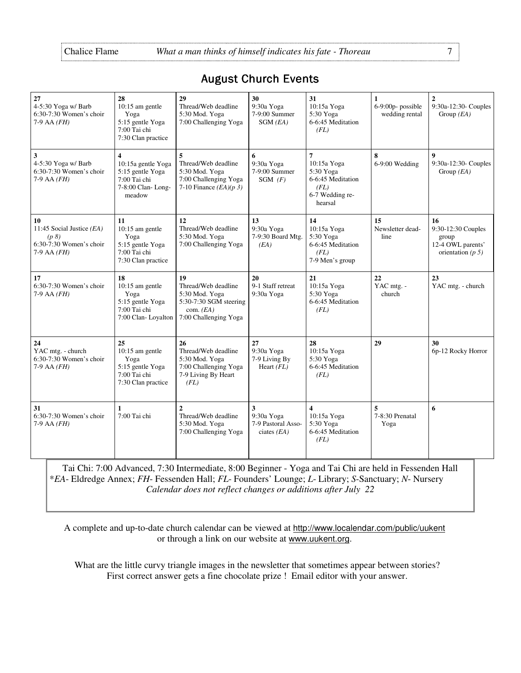# **August Church Events**

| 27<br>4-5:30 Yoga w/ Barb<br>$6:30-7:30$ Women's choir<br>$7-9$ AA $(FH)$                | 28<br>10:15 am gentle<br>Yoga<br>5:15 gentle Yoga<br>7:00 Tai chi<br>7:30 Clan practice                          | 29<br>Thread/Web deadline<br>5:30 Mod. Yoga<br>7:00 Challenging Yoga                                          | 30<br>9:30a Yoga<br>7-9:00 Summer<br>$SGM$ ( <i>EA</i> ) | 31<br>10:15a Yoga<br>5:30 Yoga<br>6-6:45 Meditation<br>(FL)                                           | $\mathbf{1}$<br>6-9:00p- possible<br>wedding rental | $\overline{2}$<br>9:30a-12:30- Couples<br>Group $(EA)$                        |
|------------------------------------------------------------------------------------------|------------------------------------------------------------------------------------------------------------------|---------------------------------------------------------------------------------------------------------------|----------------------------------------------------------|-------------------------------------------------------------------------------------------------------|-----------------------------------------------------|-------------------------------------------------------------------------------|
| 3<br>4-5:30 Yoga w/ Barb<br>6:30-7:30 Women's choir<br>$7-9$ AA $(FH)$                   | $\overline{\mathbf{4}}$<br>10:15a gentle Yoga<br>5:15 gentle Yoga<br>7:00 Tai chi<br>7-8:00 Clan-Long-<br>meadow | 5<br>Thread/Web deadline<br>5:30 Mod. Yoga<br>7:00 Challenging Yoga<br>7-10 Finance $(EA)(p\ 3)$              | 6<br>9:30a Yoga<br>7-9:00 Summer<br>$SGM$ (F)            | $\overline{7}$<br>10:15a Yoga<br>5:30 Yoga<br>6-6:45 Meditation<br>(FL)<br>6-7 Wedding re-<br>hearsal | $\bf 8$<br>6-9:00 Wedding                           | $\boldsymbol{9}$<br>9:30a-12:30- Couples<br>Group $(EA)$                      |
| 10<br>11:45 Social Justice (EA)<br>(p 8)<br>$6:30-7:30$ Women's choir<br>$7-9$ AA $(FH)$ | 11<br>$10:15$ am gentle<br>Yoga<br>5:15 gentle Yoga<br>7:00 Tai chi<br>7:30 Clan practice                        | 12<br>Thread/Web deadline<br>5:30 Mod. Yoga<br>7:00 Challenging Yoga                                          | 13<br>9:30a Yoga<br>7-9:30 Board Mtg.<br>(EA)            | 14<br>10:15a Yoga<br>5:30 Yoga<br>6-6:45 Meditation<br>(FL)<br>7-9 Men's group                        | 15<br>Newsletter dead-<br>line                      | 16<br>9:30-12:30 Couples<br>group<br>12-4 OWL parents'<br>orientation $(p 5)$ |
| 17<br>6:30-7:30 Women's choir<br>$7-9$ AA $(FH)$                                         | 18<br>$10:15$ am gentle<br>Yoga<br>5:15 gentle Yoga<br>7:00 Tai chi<br>7:00 Clan-Loyalton                        | 19<br>Thread/Web deadline<br>5:30 Mod. Yoga<br>5:30-7:30 SGM steering<br>com. $(EA)$<br>7:00 Challenging Yoga | 20<br>9-1 Staff retreat<br>9:30a Yoga                    | 21<br>10:15a Yoga<br>5:30 Yoga<br>6-6:45 Meditation<br>(FL)                                           | 22<br>YAC mtg. -<br>church                          | 23<br>YAC mtg. - church                                                       |
| 24<br>YAC mtg. - church<br>$6:30-7:30$ Women's choir<br>$7-9$ AA $(FH)$                  | 25<br>10:15 am gentle<br>Yoga<br>5:15 gentle Yoga<br>7:00 Tai chi<br>7:30 Clan practice                          | 26<br>Thread/Web deadline<br>5:30 Mod. Yoga<br>7:00 Challenging Yoga<br>7-9 Living By Heart<br>(FL)           | 27<br>9:30a Yoga<br>7-9 Living By<br>Heart $(FL)$        | 28<br>10:15a Yoga<br>5:30 Yoga<br>6-6:45 Meditation<br>(FL)                                           | 29                                                  | 30<br>6p-12 Rocky Horror                                                      |
| 31<br>$6:30-7:30$ Women's choir<br>$7-9$ AA $(FH)$                                       | 1<br>7:00 Tai chi                                                                                                | $\overline{c}$<br>Thread/Web deadline<br>5:30 Mod. Yoga<br>7:00 Challenging Yoga                              | 3<br>9:30a Yoga<br>7-9 Pastoral Asso-<br>ciates $(EA)$   | $\overline{\mathbf{4}}$<br>10:15a Yoga<br>5:30 Yoga<br>6-6:45 Meditation<br>(FL)                      | 5<br>7-8:30 Prenatal<br>Yoga                        | 6                                                                             |

Tai Chi: 7:00 Advanced, 7:30 Intermediate, 8:00 Beginner - Yoga and Tai Chi are held in Fessenden Hall \**EA*- Eldredge Annex; *FH*- Fessenden Hall; *FL*- Founders' Lounge; *L*- Library; *S*-Sanctuary; *N*- Nursery *Calendar does not reflect changes or additions after July 22*

A complete and up-to-date church calendar can be viewed at http://www.localendar.com/public/uukent or through a link on our website at www.uukent.org.

What are the little curvy triangle images in the newsletter that sometimes appear between stories? First correct answer gets a fine chocolate prize ! Email editor with your answer.